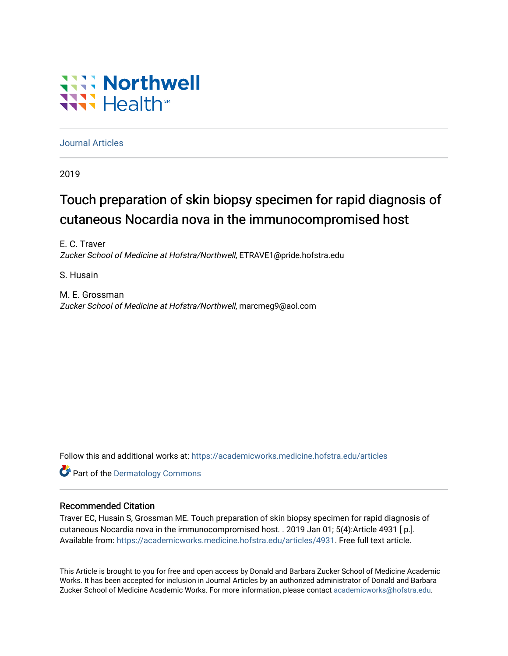# **WANT Northwell** WAN Health

[Journal Articles](https://academicworks.medicine.hofstra.edu/articles) 

2019

# Touch preparation of skin biopsy specimen for rapid diagnosis of cutaneous Nocardia nova in the immunocompromised host

E. C. Traver Zucker School of Medicine at Hofstra/Northwell, ETRAVE1@pride.hofstra.edu

S. Husain

M. E. Grossman Zucker School of Medicine at Hofstra/Northwell, marcmeg9@aol.com

Follow this and additional works at: [https://academicworks.medicine.hofstra.edu/articles](https://academicworks.medicine.hofstra.edu/articles?utm_source=academicworks.medicine.hofstra.edu%2Farticles%2F4931&utm_medium=PDF&utm_campaign=PDFCoverPages)

**Part of the Dermatology Commons** 

### Recommended Citation

Traver EC, Husain S, Grossman ME. Touch preparation of skin biopsy specimen for rapid diagnosis of cutaneous Nocardia nova in the immunocompromised host. . 2019 Jan 01; 5(4):Article 4931 [ p.]. Available from: [https://academicworks.medicine.hofstra.edu/articles/4931.](https://academicworks.medicine.hofstra.edu/articles/4931?utm_source=academicworks.medicine.hofstra.edu%2Farticles%2F4931&utm_medium=PDF&utm_campaign=PDFCoverPages) Free full text article.

This Article is brought to you for free and open access by Donald and Barbara Zucker School of Medicine Academic Works. It has been accepted for inclusion in Journal Articles by an authorized administrator of Donald and Barbara Zucker School of Medicine Academic Works. For more information, please contact [academicworks@hofstra.edu](mailto:academicworks@hofstra.edu).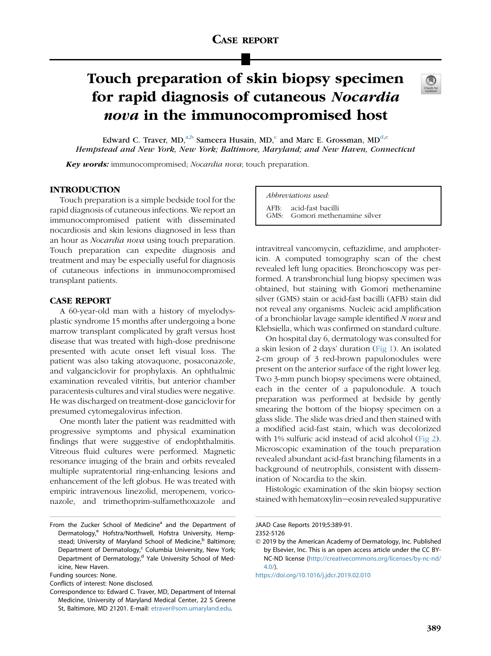## Touch preparation of skin biopsy specimen for rapid diagnosis of cutaneous Nocardia nova in the immunocompromised host

Edward C. Traver, MD,<sup>a,b</sup> Sameera Husain, MD,<sup>c</sup> and Marc E. Grossman, MD<sup>d,e</sup> Hempstead and New York, New York; Baltimore, Maryland; and New Haven, Connecticut

Key words: immunocompromised; Nocardia nova; touch preparation.

### INTRODUCTION

Touch preparation is a simple bedside tool for the rapid diagnosis of cutaneous infections. We report an immunocompromised patient with disseminated nocardiosis and skin lesions diagnosed in less than an hour as Nocardia nova using touch preparation. Touch preparation can expedite diagnosis and treatment and may be especially useful for diagnosis of cutaneous infections in immunocompromised transplant patients.

### CASE REPORT

A 60-year-old man with a history of myelodysplastic syndrome 15 months after undergoing a bone marrow transplant complicated by graft versus host disease that was treated with high-dose prednisone presented with acute onset left visual loss. The patient was also taking atovaquone, posaconazole, and valganciclovir for prophylaxis. An ophthalmic examination revealed vitritis, but anterior chamber paracentesis cultures and viral studies were negative. He was discharged on treatment-dose ganciclovir for presumed cytomegalovirus infection.

One month later the patient was readmitted with progressive symptoms and physical examination findings that were suggestive of endophthalmitis. Vitreous fluid cultures were performed. Magnetic resonance imaging of the brain and orbits revealed multiple supratentorial ring-enhancing lesions and enhancement of the left globus. He was treated with empiric intravenous linezolid, meropenem, voriconazole, and trimethoprim-sulfamethoxazole and

Funding sources: None.

Conflicts of interest: None disclosed.

Abbreviations used: AFB: acid-fast bacilli GMS: Gomori methenamine silver

intravitreal vancomycin, ceftazidime, and amphotericin. A computed tomography scan of the chest revealed left lung opacities. Bronchoscopy was performed. A transbronchial lung biopsy specimen was obtained, but staining with Gomori methenamine silver (GMS) stain or acid-fast bacilli (AFB) stain did not reveal any organisms. Nucleic acid amplification of a bronchiolar lavage sample identified N nova and Klebsiella, which was confirmed on standard culture.

On hospital day 6, dermatology was consulted for a skin lesion of 2 days' duration ([Fig 1\)](#page-2-0). An isolated 2-cm group of 3 red-brown papulonodules were present on the anterior surface of the right lower leg. Two 3-mm punch biopsy specimens were obtained, each in the center of a papulonodule. A touch preparation was performed at bedside by gently smearing the bottom of the biopsy specimen on a glass slide. The slide was dried and then stained with a modified acid-fast stain, which was decolorized with 1% sulfuric acid instead of acid alcohol ([Fig 2](#page-2-0)). Microscopic examination of the touch preparation revealed abundant acid-fast branching filaments in a background of neutrophils, consistent with dissemination of Nocardia to the skin.

Histologic examination of the skin biopsy section stained with hematoxylin-eosin revealed suppurative

From the Zucker School of Medicine<sup>a</sup> and the Department of Dermatology,<sup>e</sup> Hofstra/Northwell, Hofstra University, Hempstead; University of Maryland School of Medicine,<sup>b</sup> Baltimore; Department of Dermatology,<sup>c</sup> Columbia University, New York; Department of Dermatology, $d$  Yale University School of Medicine, New Haven.

Correspondence to: Edward C. Traver, MD, Department of Internal Medicine, University of Maryland Medical Center, 22 S Greene St, Baltimore, MD 21201. E-mail: [etraver@som.umaryland.edu](mailto:etraver@som.umaryland.edu).

JAAD Case Reports 2019;5:389-91.

<sup>2352-5126</sup>

2019 by the American Academy of Dermatology, Inc. Published by Elsevier, Inc. This is an open access article under the CC BY-NC-ND license [\(http://creativecommons.org/licenses/by-nc-nd/](http://creativecommons.org/licenses/by-nc-nd/4.0/)  $4.0<sub>0</sub>$ .

<https://doi.org/10.1016/j.jdcr.2019.02.010>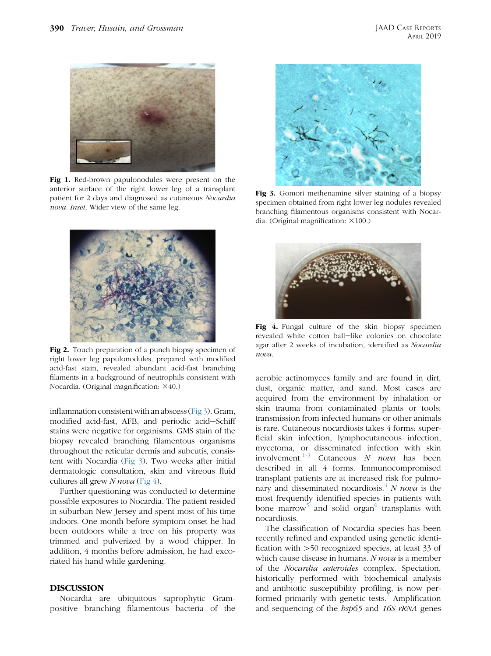<span id="page-2-0"></span>

Fig 1. Red-brown papulonodules were present on the anterior surface of the right lower leg of a transplant patient for 2 days and diagnosed as cutaneous Nocardia nova. Inset, Wider view of the same leg.



Fig 2. Touch preparation of a punch biopsy specimen of right lower leg papulonodules, prepared with modified acid-fast stain, revealed abundant acid-fast branching filaments in a background of neutrophils consistent with Nocardia. (Original magnification:  $\times 40$ .)

inflammation consistent with an abscess (Fig 3). Gram, modified acid-fast, AFB, and periodic acid-Schiff stains were negative for organisms. GMS stain of the biopsy revealed branching filamentous organisms throughout the reticular dermis and subcutis, consistent with Nocardia (Fig 3). Two weeks after initial dermatologic consultation, skin and vitreous fluid cultures all grew  $N$  *nova* (Fig 4).

Further questioning was conducted to determine possible exposures to Nocardia. The patient resided in suburban New Jersey and spent most of his time indoors. One month before symptom onset he had been outdoors while a tree on his property was trimmed and pulverized by a wood chipper. In addition, 4 months before admission, he had excoriated his hand while gardening.

#### DISCUSSION

Nocardia are ubiquitous saprophytic Grampositive branching filamentous bacteria of the



Fig 3. Gomori methenamine silver staining of a biopsy specimen obtained from right lower leg nodules revealed branching filamentous organisms consistent with Nocardia. (Original magnification:  $\times 100$ .)



Fig 4. Fungal culture of the skin biopsy specimen revealed white cotton ball-like colonies on chocolate agar after 2 weeks of incubation, identified as Nocardia nova.

aerobic actinomyces family and are found in dirt, dust, organic matter, and sand. Most cases are acquired from the environment by inhalation or skin trauma from contaminated plants or tools; transmission from infected humans or other animals is rare. Cutaneous nocardiosis takes 4 forms: superficial skin infection, lymphocutaneous infection, mycetoma, or disseminated infection with skin involvement.<sup>[1-3](#page-3-0)</sup> Cutaneous N *nova* has been described in all 4 forms. Immunocompromised transplant patients are at increased risk for pulmo-nary and disseminated nocardiosis.<sup>[4](#page-3-0)</sup> N nova is the most frequently identified species in patients with bone marrow and solid organ<sup>6</sup> transplants with nocardiosis.

The classification of Nocardia species has been recently refined and expanded using genetic identification with  $>50$  recognized species, at least 33 of which cause disease in humans. N nova is a member of the Nocardia asteroides complex. Speciation, historically performed with biochemical analysis and antibiotic susceptibility profiling, is now per-formed primarily with genetic tests.<sup>[7](#page-3-0)</sup> Amplification and sequencing of the hsp65 and 16S rRNA genes